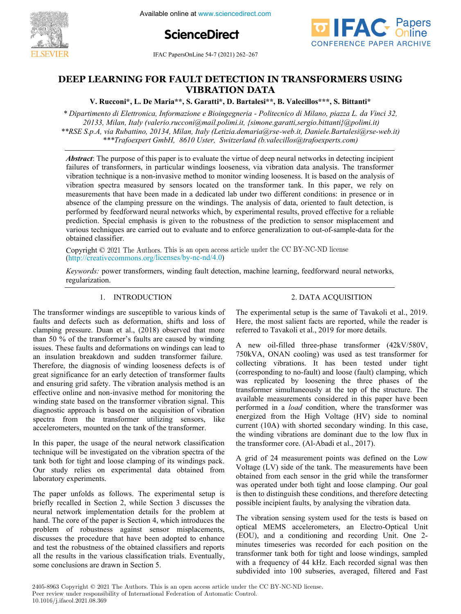

**ScienceDirect**



**ER** IFAC PapersOnLine 54-7 (2021) 262-267 **DEEP** LEARNING FOR FAULT DETECTION IN THE FAULT DETECTION IN THE FAULT OF  $54\frac{1}{2}$ **DEEP LEARNING FOR FAULT DETECTION IN TRANSFORMERS USING 202-201** 

#### **V. Rucconi\*, L. De Maria\*\*, S. Garatti\*, D. Bartalesi\*\*, B. Valecillos\*\*\*, S. Bittanti\* DEEP LEARNING FOR FAULT DETECTION IN TRANSFORMERS USING V. Rucconi\*, L. De Maria\*\*, S. Garatti\*, D. Bartalesi\*\*, B. Valecillos\*\*\*, S. Bittanti\* VIBRATION DATA V. Rucconi\*, L. De Maria\*\*, S. Garatti\*, D. Bartalesi\*\*, B. Valecillos\*\*\*, S. Bittanti\***

**V. Rucconi\*, L. De Maria\*\*, S. Garatti\*, D. Bartalesi\*\*, B. Valecillos\*\*\*, S. Bittanti\*** *\* Dipartimento di Elettronica, Informazione e Bioingegneria - Politecnico di Milano, piazza L. da Vinci 32,* **V. Rucconi\*, L. De Maria\*\*, S. Garatti\*, D. Bartalesi\*\*, B. Valecillos\*\*\*, S. Bittanti\***

*\* Dipartimento di Elettronica, Informazione e Bioingegneria - Politecnico di Milano, piazza L. da Vinci 32,* 20133, Milan, Italy (valerio.rucconi@mail.polimi.it, {simone.garatti,sergio.bittanti}@polimi.it) \*\*RSE S.p.A, via Rubattino, 20134, Milan, Italy (Letizia.demaria@rse-web.it, Daniele.Bartalesi@rse-web.it) \*\*\*Trafoexpert GmbH, 8610 Uster, Switzerland (b.valecillos@trafoexperts.com) artimento di Elettronica, Informazione e Bioingegneria - Politecnico di Milano, piazza L. da Vinci 32

*\*\*\*Trafoexpert GmbH, 8610 Uster, Switzerland (b.valecillos@trafoexperts.com)*

*\*\*RSE S.p.A, via Rubattino, 20134, Milan, Italy (Letizia.demaria@rse-web.it, Daniele.Bartalesi@rse-web.it)*

failures of transformers, in particular windings looseness, via vibration data analysis. The transformer vibration technique is a non-invasive method to monitor winding looseness. It is based on the analysis of vibration technique is a non-invasive method to monitor winding looseness. It is based on the analysis of vibration spectra measured by sensors located on the transformer tank. In this paper, we rely on measurements that h measurements that have been made in a dedicated lab under two different conditions: in presence or in measurements that have been made in a dedicated lab under two different conditions: in presence or in<br>absence of the clamping pressure on the windings. The analysis of data, oriented to fault detection, is<br>performed by fee performed by feedforward neural networks which, by experimental results, proved effective for a reliable performed by feedforward neural networks which, by experimental results, proved effective for a reliable<br>prediction. Special emphasis is given to the robustness of the prediction to sensor misplacement and<br>various techniqu various techniques are carried out to evaluate and to enforce generalization to out-of-sample-data for the obtained classifier. obtained classifier. **Abstract**: The purpose of this paper is to evaluate the virtue of deep neural networks in detecting incipient

Copyright © 2021 The Authors. This is an open access article under the CC BY-NC-ND license http://creativecommons.org/licenses/by-nc-nd/4.0) obtained classifier.<br>Copyright © 2021 The Authors. This is an open access article under the CC BY-NC-ND license<br>(http://grootive.commons.org/licenses/by.ns.  $nd/4.0$ )  $($ mp.//treative Copyright  $\odot$  2021 The Authors. This is an open access article under the CC DT-INC-IND ficense<br>(http://creativecommons.org/licenses/hy-nc-nd/4.0)

(http://creativecommons.org/licenses/by-nc-nd/4.0)<br>Keywords: power transformers, winding fault detection, machine learning, feedforward neural networks, regularization.<br> **Regularization**.

#### 1. INTRODUCTION 1. INTRODUCTION

regularization.<br>The contract of the contract of the contract of the contract of the contract of the contract of the contract o

The transformer windings are susceptible to various kinds of faults and defects such as deformation, shifts and loss of clamping pressure. Duan et al., (2018) observed that more than  $50\%$  of the transformer's faults are caused by winding than 50 % of the transformer's faults are caused by winding<br>issues. These faults and deformations on windings can lead to issues. These faults and deformations on windings can lead to<br>an insulation breakdown and sudden transformer failure. an insulation breakdown and sudden transformer failure.<br>Therefore, the diagnosis of winding looseness defects is of great significance for an early detection of transformer faults great significance for an early detection of transformer faults<br>and ensuring grid safety. The vibration analysis method is an effective online and non-invasive method for monitoring the effective online and non-invasive method for monitoring the winding state based on the transformer vibration signal. This winding state based on the transformer vibration signal. This diagnostic approach is based on the acquisition of vibration diagnostic approach is based on the acquisition of vibration<br>spectra from the transformer utilizing sensors, like accelerometers, mounted on the tank of the transformer. The transformer windings are susceptible to various kinds of

In this paper, the usage of the neural network classification technique will be investigated on the vibration spectra of the technique will be investigated on the vibration spectra of the<br>tank both for tight and loose clamping of its windings pack. Our study relies on experimental data obtained from<br>laboratory experiments. laboratory experiments. In this paper, the usage of the neural network classification<br>technique will be investigated on the vibration spectra of the In this paper, the usage of the neural network classification

The paper unfolds as follows. The experimental setup is briefly recalled in Section 2, while Section 3 discusses the neural network implementation details for the problem at neural network implementation details for the problem at<br>hand. The core of the paper is Section 4, which introduces the problem of robustness against sensor misplacements, problem of robustness against sensor misplacements,<br>discusses the procedure that have been adopted to enhance discusses the procedure that have been adopted to enhance<br>and test the robustness of the obtained classifiers and reports and test the robustness of the obtained classifiers and reports<br>all the results in the various classification trials. Eventually, some conclusions are drawn in Section 5. The paper untolds as follows. The experimental setup is laboratory experiments. Our study relies on experimental data obtained from  $\frac{1}{2}$  in the paper unions as neural network implementation details for the problem at<br>hand. The core of the paper is Section 4, which introduces the<br>problem of robustness against sensor misplacements,<br>discusses the procedure that have been adopted to

#### 2. DATA ACQUISITION 2. DATA ACQUISITION

The experimental setup is the same of Tavakoli et al., 2019. Here, the most salient facts are reported, while the reader is referred to Tavakoli et al., 2019 for more details. The experimental setup is the same of Tavakoli et al., 2019.

A new oil-filled three-phase transformer (42kV/580V, 750kVA, ONAN cooling) was used as test transformer for collecting vibrations. It has been tested under tight collecting vibrations. It has been tested under tight<br>(corresponding to no-fault) and loose (fault) clamping, which was replicated by loosening the three phases of the was replicated by loosening the three phases of the transformer simultaneously at the top of the structure. The transformer simultaneously at the top of the structure. The available measurements considered in this paper have been available measurements considered in this paper have been<br>performed in a *load* condition, where the transformer was energized from the High Voltage (HV) side to nominal energized from the High Voltage (HV) side to nominal<br>current (10A) with shorted secondary winding. In this case, the winding vibrations are dominant due to the low flux in the transformer core. (Al-Abadi et al., 2017). referred to Tavakoli et al., 2019 for more details.<br>A new oil-filled three-phase transformer (42kV/580V, referred to Tavakoli et al., 2019 for more details. Here, the most salient facts are reported, while the reader is the transformer core. (Al-Abadi et al., 2017).  $r_{\text{re}}$  and  $r_{\text{re}}$  allegers maniformer collecting vibrations. It has been tested under tight (corresponding to no-fault) and loose (fault) clamping, which was replicated by loosening the three phases of the transformer simultaneously at the top of the structure energized from the High Voltage (HV) side to nominal<br>current (10A) with shorted secondary winding. In this case,<br>the winding vibrations are dominant due to the low flux in<br>the transformer core. (Al-Abadi et al., 2017).

A grid of 24 measurement points was defined on the Low Voltage (LV) side of the tank. The measurements have been obtained from each sensor in the grid while the transformer obtained from each sensor in the grid while the transformer<br>was operated under both tight and loose clamping. Our goal is then to distinguish these conditions, and therefore detecting is then to distinguish these conditions, and therefore detecting<br>possible incipient faults, by analysing the vibration data. A grid of 24 measurement points was defined on the Low possible incipient faults, by analysing the vibration data. A grid of  $24$  measurement points was defined.

The vibration sensing system used for the tests is based on optical MEMS accelerometers, an Electro-Optical Unit (EOU), and a conditioning and recording Unit. One 2-(EOU), and a conditioning and recording Unit. One 2-<br>minutes timeseries was recorded for each position on the minutes timeseries was recorded for each position on the transformer tank both for tight and loose windings, sampled transformer tank both for tight and loose windings, sampled<br>with a frequency of 44 kHz. Each recorded signal was then subdivided into 100 subseries, averaged, filtered and Fast The vibration sensing system used for the tests is based on subdivided into 100 subseries, averaged, filtered and Fast possible include the vibration sensing system used for the tests is based with a frequency of 44 kHz. Each recorded signal was then subdivided into 100 subseries, averaged, filtered and Fast

2405-8963 Copyright  $\odot$  2021 The Authors. This is an open access article under the CC BY-NC-ND license. Peer review under responsibility of International Federation of Automatic Control.<br>10.1016/i.ifacol.2021.08.369 10.1016/j.ifacol.2021.08.369 غ<br>1  $\overline{a}$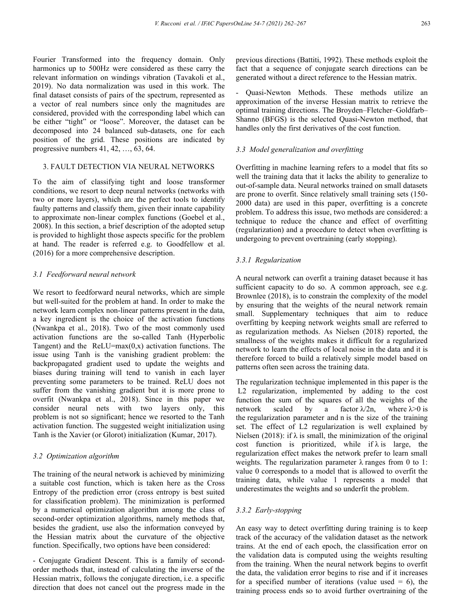Fourier Transformed into the frequency domain. Only harmonics up to 500Hz were considered as these carry the relevant information on windings vibration (Tavakoli et al., 2019). No data normalization was used in this work. The final dataset consists of pairs of the spectrum, represented as a vector of real numbers since only the magnitudes are considered, provided with the corresponding label which can be either "tight" or "loose". Moreover, the dataset can be decomposed into 24 balanced sub-datasets, one for each position of the grid. These positions are indicated by progressive numbers 41, 42, …, 63, 64.

## 3. FAULT DETECTION VIA NEURAL NETWORKS

To the aim of classifying tight and loose transformer conditions, we resort to deep neural networks (networks with two or more layers), which are the perfect tools to identify faulty patterns and classify them, given their innate capability to approximate non-linear complex functions (Goebel et al., 2008). In this section, a brief description of the adopted setup is provided to highlight those aspects specific for the problem at hand. The reader is referred e.g. to Goodfellow et al. (2016) for a more comprehensive description.

#### *3.1 Feedforward neural network*

We resort to feedforward neural networks, which are simple but well-suited for the problem at hand. In order to make the network learn complex non-linear patterns present in the data, a key ingredient is the choice of the activation functions (Nwankpa et al., 2018). Two of the most commonly used activation functions are the so-called Tanh (Hyperbolic Tangent) and the  $ReLU = max(0, x)$  activation functions. The issue using Tanh is the vanishing gradient problem: the backpropagated gradient used to update the weights and biases during training will tend to vanish in each layer preventing some parameters to be trained. ReLU does not suffer from the vanishing gradient but it is more prone to overfit (Nwankpa et al., 2018). Since in this paper we consider neural nets with two layers only, this problem is not so significant; hence we resorted to the Tanh activation function. The suggested weight initialization using Tanh is the Xavier (or Glorot) initialization (Kumar, 2017).

### *3.2 Optimization algorithm*

The training of the neural network is achieved by minimizing a suitable cost function, which is taken here as the Cross Entropy of the prediction error (cross entropy is best suited for classification problem). The minimization is performed by a numerical optimization algorithm among the class of second-order optimization algorithms, namely methods that, besides the gradient, use also the information conveyed by the Hessian matrix about the curvature of the objective function. Specifically, two options have been considered:

- Conjugate Gradient Descent. This is a family of secondorder methods that, instead of calculating the inverse of the Hessian matrix, follows the conjugate direction, i.e. a specific direction that does not cancel out the progress made in the

previous directions (Battiti, 1992). These methods exploit the fact that a sequence of conjugate search directions can be generated without a direct reference to the Hessian matrix.

- Quasi-Newton Methods. These methods utilize an approximation of the inverse Hessian matrix to retrieve the optimal training directions. The Broyden–Fletcher–Goldfarb– Shanno (BFGS) is the selected Quasi-Newton method, that handles only the first derivatives of the cost function.

#### *3.3 Model generalization and overfitting*

Overfitting in machine learning refers to a model that fits so well the training data that it lacks the ability to generalize to out-of-sample data. Neural networks trained on small datasets are prone to overfit. Since relatively small training sets (150- 2000 data) are used in this paper, overfitting is a concrete problem. To address this issue, two methods are considered: a technique to reduce the chance and effect of overfitting (regularization) and a procedure to detect when overfitting is undergoing to prevent overtraining (early stopping).

### *3.3.1 Regularization*

A neural network can overfit a training dataset because it has sufficient capacity to do so. A common approach, see e.g. Brownlee (2018), is to constrain the complexity of the model by ensuring that the weights of the neural network remain small. Supplementary techniques that aim to reduce overfitting by keeping network weights small are referred to as regularization methods. As Nielsen (2018) reported, the smallness of the weights makes it difficult for a regularized network to learn the effects of local noise in the data and it is therefore forced to build a relatively simple model based on patterns often seen across the training data.

The regularization technique implemented in this paper is the L2 regularization, implemented by adding to the cost function the sum of the squares of all the weights of the network scaled by a factor  $\lambda/2n$ , where  $\lambda > 0$  is the regularization parameter and n is the size of the training set. The effect of L2 regularization is well explained by Nielsen (2018): if  $\lambda$  is small, the minimization of the original cost function is prioritized, while if  $\lambda$  is large, the regularization effect makes the network prefer to learn small weights. The regularization parameter  $\lambda$  ranges from 0 to 1: value 0 corresponds to a model that is allowed to overfit the training data, while value 1 represents a model that underestimates the weights and so underfit the problem.

## *3.3.2 Early-stopping*

An easy way to detect overfitting during training is to keep track of the accuracy of the validation dataset as the network trains. At the end of each epoch, the classification error on the validation data is computed using the weights resulting from the training. When the neural network begins to overfit the data, the validation error begins to rise and if it increases for a specified number of iterations (value used  $= 6$ ), the training process ends so to avoid further overtraining of the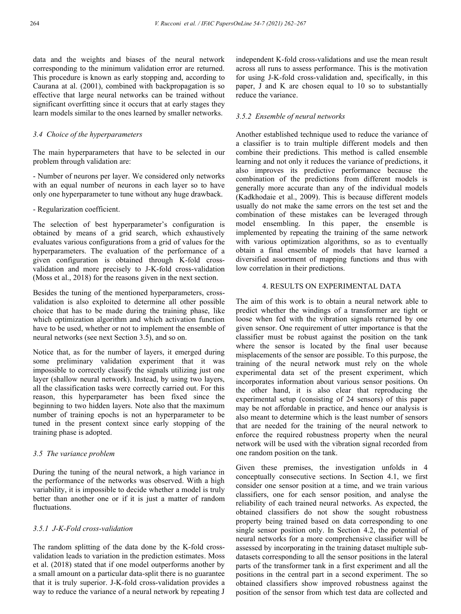data and the weights and biases of the neural network corresponding to the minimum validation error are returned. This procedure is known as early stopping and, according to Caurana at al. (2001), combined with backpropagation is so effective that large neural networks can be trained without significant overfitting since it occurs that at early stages they learn models similar to the ones learned by smaller networks.

## *3.4 Choice of the hyperparameters*

The main hyperparameters that have to be selected in our problem through validation are:

- Number of neurons per layer. We considered only networks with an equal number of neurons in each layer so to have only one hyperparameter to tune without any huge drawback.

# - Regularization coefficient.

The selection of best hyperparameter's configuration is obtained by means of a grid search, which exhaustively evaluates various configurations from a grid of values for the hyperparameters. The evaluation of the performance of a given configuration is obtained through K-fold crossvalidation and more precisely to J-K-fold cross-validation (Moss et al., 2018) for the reasons given in the next section.

Besides the tuning of the mentioned hyperparameters, crossvalidation is also exploited to determine all other possible choice that has to be made during the training phase, like which optimization algorithm and which activation function have to be used, whether or not to implement the ensemble of neural networks (see next Section 3.5), and so on.

Notice that, as for the number of layers, it emerged during some preliminary validation experiment that it was impossible to correctly classify the signals utilizing just one layer (shallow neural network). Instead, by using two layers, all the classification tasks were correctly carried out. For this reason, this hyperparameter has been fixed since the beginning to two hidden layers. Note also that the maximum number of training epochs is not an hyperparameter to be tuned in the present context since early stopping of the training phase is adopted.

## *3.5 The variance problem*

During the tuning of the neural network, a high variance in the performance of the networks was observed. With a high variability, it is impossible to decide whether a model is truly better than another one or if it is just a matter of random fluctuations.

## *3.5.1 J-K-Fold cross-validation*

The random splitting of the data done by the K-fold crossvalidation leads to variation in the prediction estimates. Moss et al. (2018) stated that if one model outperforms another by a small amount on a particular data-split there is no guarantee that it is truly superior. J-K-fold cross-validation provides a way to reduce the variance of a neural network by repeating J

independent K-fold cross-validations and use the mean result across all runs to assess performance. This is the motivation for using J-K-fold cross-validation and, specifically, in this paper, J and K are chosen equal to 10 so to substantially reduce the variance.

## *3.5.2 Ensemble of neural networks*

Another established technique used to reduce the variance of a classifier is to train multiple different models and then combine their predictions. This method is called ensemble learning and not only it reduces the variance of predictions, it also improves its predictive performance because the combination of the predictions from different models is generally more accurate than any of the individual models (Kadkhodaie et al., 2009). This is because different models usually do not make the same errors on the test set and the combination of these mistakes can be leveraged through model ensembling. In this paper, the ensemble is implemented by repeating the training of the same network with various optimization algorithms, so as to eventually obtain a final ensemble of models that have learned a diversified assortment of mapping functions and thus with low correlation in their predictions.

### 4. RESULTS ON EXPERIMENTAL DATA

The aim of this work is to obtain a neural network able to predict whether the windings of a transformer are tight or loose when fed with the vibration signals returned by one given sensor. One requirement of utter importance is that the classifier must be robust against the position on the tank where the sensor is located by the final user because misplacements of the sensor are possible. To this purpose, the training of the neural network must rely on the whole experimental data set of the present experiment, which incorporates information about various sensor positions. On the other hand, it is also clear that reproducing the experimental setup (consisting of 24 sensors) of this paper may be not affordable in practice, and hence our analysis is also meant to determine which is the least number of sensors that are needed for the training of the neural network to enforce the required robustness property when the neural network will be used with the vibration signal recorded from one random position on the tank.

Given these premises, the investigation unfolds in 4 conceptually consecutive sections. In Section 4.1, we first consider one sensor position at a time, and we train various classifiers, one for each sensor position, and analyse the reliability of each trained neural networks. As expected, the obtained classifiers do not show the sought robustness property being trained based on data corresponding to one single sensor position only. In Section 4.2, the potential of neural networks for a more comprehensive classifier will be assessed by incorporating in the training dataset multiple subdatasets corresponding to all the sensor positions in the lateral parts of the transformer tank in a first experiment and all the positions in the central part in a second experiment. The so obtained classifiers show improved robustness against the position of the sensor from which test data are collected and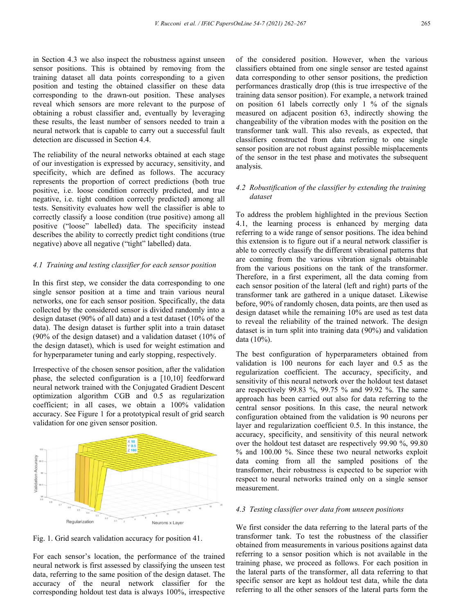in Section 4.3 we also inspect the robustness against unseen sensor positions. This is obtained by removing from the training dataset all data points corresponding to a given position and testing the obtained classifier on these data corresponding to the drawn-out position. These analyses reveal which sensors are more relevant to the purpose of

obtaining a robust classifier and, eventually by leveraging these results, the least number of sensors needed to train a neural network that is capable to carry out a successful fault detection are discussed in Section 4.4.

The reliability of the neural networks obtained at each stage of our investigation is expressed by accuracy, sensitivity, and specificity, which are defined as follows. The accuracy represents the proportion of correct predictions (both true positive, i.e. loose condition correctly predicted, and true negative, i.e. tight condition correctly predicted) among all tests. Sensitivity evaluates how well the classifier is able to correctly classify a loose condition (true positive) among all positive ("loose" labelled) data. The specificity instead describes the ability to correctly predict tight conditions (true negative) above all negative ("tight" labelled) data.

### *4.1 Training and testing classifier for each sensor position*

In this first step, we consider the data corresponding to one single sensor position at a time and train various neural networks, one for each sensor position. Specifically, the data collected by the considered sensor is divided randomly into a design dataset (90% of all data) and a test dataset (10% of the data). The design dataset is further split into a train dataset (90% of the design dataset) and a validation dataset (10% of the design dataset), which is used for weight estimation and for hyperparameter tuning and early stopping, respectively.

Irrespective of the chosen sensor position, after the validation phase, the selected configuration is a [10,10] feedforward neural network trained with the Conjugated Gradient Descent optimization algorithm CGB and 0.5 as regularization coefficient; in all cases, we obtain a 100% validation accuracy. See Figure 1 for a prototypical result of grid search validation for one given sensor position.



Fig. 1. Grid search validation accuracy for position 41.

For each sensor's location, the performance of the trained neural network is first assessed by classifying the unseen test data, referring to the same position of the design dataset. The accuracy of the neural network classifier for the corresponding holdout test data is always 100%, irrespective

of the considered position. However, when the various classifiers obtained from one single sensor are tested against data corresponding to other sensor positions, the prediction performances drastically drop (this is true irrespective of the training data sensor position). For example, a network trained on position 61 labels correctly only 1 % of the signals measured on adjacent position 63, indirectly showing the changeability of the vibration modes with the position on the transformer tank wall. This also reveals, as expected, that classifiers constructed from data referring to one single sensor position are not robust against possible misplacements of the sensor in the test phase and motivates the subsequent analysis.

## *4.2 Robustification of the classifier by extending the training dataset*

To address the problem highlighted in the previous Section 4.1, the learning process is enhanced by merging data referring to a wide range of sensor positions. The idea behind this extension is to figure out if a neural network classifier is able to correctly classify the different vibrational patterns that are coming from the various vibration signals obtainable from the various positions on the tank of the transformer. Therefore, in a first experiment, all the data coming from each sensor position of the lateral (left and right) parts of the transformer tank are gathered in a unique dataset. Likewise before, 90% of randomly chosen, data points, are then used as design dataset while the remaining 10% are used as test data to reveal the reliability of the trained network. The design dataset is in turn split into training data (90%) and validation data (10%).

The best configuration of hyperparameters obtained from validation is 100 neurons for each layer and 0.5 as the regularization coefficient. The accuracy, specificity, and sensitivity of this neural network over the holdout test dataset are respectively 99.83 %, 99.75 % and 99.92 %. The same approach has been carried out also for data referring to the central sensor positions. In this case, the neural network configuration obtained from the validation is 90 neurons per layer and regularization coefficient 0.5. In this instance, the accuracy, specificity, and sensitivity of this neural network over the holdout test dataset are respectively 99.90 %, 99.80 % and 100.00 %. Since these two neural networks exploit data coming from all the sampled positions of the transformer, their robustness is expected to be superior with respect to neural networks trained only on a single sensor measurement.

### *4.3 Testing classifier over data from unseen positions*

We first consider the data referring to the lateral parts of the transformer tank. To test the robustness of the classifier obtained from measurements in various positions against data referring to a sensor position which is not available in the training phase, we proceed as follows. For each position in the lateral parts of the transformer, all data referring to that specific sensor are kept as holdout test data, while the data referring to all the other sensors of the lateral parts form the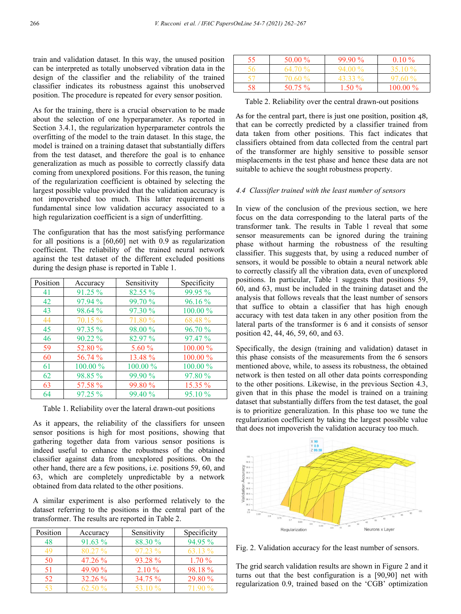train and validation dataset. In this way, the unused position can be interpreted as totally unobserved vibration data in the design of the classifier and the reliability of the trained classifier indicates its robustness against this unobserved position. The procedure is repeated for every sensor position.

As for the training, there is a crucial observation to be made about the selection of one hyperparameter. As reported in Section 3.4.1, the regularization hyperparameter controls the overfitting of the model to the train dataset. In this stage, the model is trained on a training dataset that substantially differs from the test dataset, and therefore the goal is to enhance generalization as much as possible to correctly classify data coming from unexplored positions. For this reason, the tuning of the regularization coefficient is obtained by selecting the largest possible value provided that the validation accuracy is not impoverished too much. This latter requirement is fundamental since low validation accuracy associated to a high regularization coefficient is a sign of underfitting.

The configuration that has the most satisfying performance for all positions is a [60,60] net with 0.9 as regularization coefficient. The reliability of the trained neural network against the test dataset of the different excluded positions during the design phase is reported in Table 1.

| Position | Accuracy   | Sensitivity | Specificity |
|----------|------------|-------------|-------------|
| 41       | $91.25\%$  | 82.55 %     | 99.95 %     |
| 42       | 97.94 %    | 99.70 %     | $96.16\%$   |
| 43       | 98.64 %    | 97.30 %     | 100.00 %    |
| 44       | 70.15 %    | 71.80 %     | 68.48 %     |
| 45       | $97.35\%$  | 98.00 %     | 96.70%      |
| 46       | $90.22\%$  | 82.97 %     | $97.47\%$   |
| 59       | 52.80 %    | 5.60%       | $100.00\%$  |
| 60       | 56.74 %    | 13.48 %     | $100.00\%$  |
| 61       | $100.00\%$ | $100.00\%$  | $100.00\%$  |
| 62       | 98.85 %    | 99.90 %     | 97.80 %     |
| 63       | 57.58 %    | 99.80 %     | $15.35\%$   |
| 64       | $97.25 \%$ | 99.40%      | $95.10\%$   |

Table 1. Reliability over the lateral drawn-out positions

As it appears, the reliability of the classifiers for unseen sensor positions is high for most positions, showing that gathering together data from various sensor positions is indeed useful to enhance the robustness of the obtained classifier against data from unexplored positions. On the other hand, there are a few positions, i.e. positions 59, 60, and 63, which are completely unpredictable by a network obtained from data related to the other positions.

A similar experiment is also performed relatively to the dataset referring to the positions in the central part of the transformer. The results are reported in Table 2.

| Position | Accuracy  | Sensitivity | Specificity |
|----------|-----------|-------------|-------------|
|          | 91.63 %   | 88.30 %     | 94.95 %     |
| 49       | $80.27\%$ | $97.23\%$   | 63.13 %     |
| 50       | $47.26\%$ | 93.28 %     | 1.70%       |
| 51       | 49.90 %   | $2.10\%$    | 98.18%      |
| 52       | $32.26\%$ | 34.75 %     | 29.80 %     |
|          | $62.50\%$ | 53.10 %     | 7190%       |

| 55 | 50.00 % | $99.90\%$ | $0.10 \%$  |
|----|---------|-----------|------------|
|    | 64.70%  | $94.00\%$ | $35.10\%$  |
|    | 70.60%  | 43.33 %   | $97.60\%$  |
| 58 | 50 75 % | $-50\%$   | $100.00\%$ |

Table 2. Reliability over the central drawn-out positions

As for the central part, there is just one position, position 48, that can be correctly predicted by a classifier trained from data taken from other positions. This fact indicates that classifiers obtained from data collected from the central part of the transformer are highly sensitive to possible sensor misplacements in the test phase and hence these data are not suitable to achieve the sought robustness property.

## *4.4 Classifier trained with the least number of sensors*

In view of the conclusion of the previous section, we here focus on the data corresponding to the lateral parts of the transformer tank. The results in Table 1 reveal that some sensor measurements can be ignored during the training phase without harming the robustness of the resulting classifier. This suggests that, by using a reduced number of sensors, it would be possible to obtain a neural network able to correctly classify all the vibration data, even of unexplored positions. In particular, Table 1 suggests that positions 59, 60, and 63, must be included in the training dataset and the analysis that follows reveals that the least number of sensors that suffice to obtain a classifier that has high enough accuracy with test data taken in any other position from the lateral parts of the transformer is 6 and it consists of sensor position 42, 44, 46, 59, 60, and 63.

Specifically, the design (training and validation) dataset in this phase consists of the measurements from the 6 sensors mentioned above, while, to assess its robustness, the obtained network is then tested on all other data points corresponding to the other positions. Likewise, in the previous Section 4.3, given that in this phase the model is trained on a training dataset that substantially differs from the test dataset, the goal is to prioritize generalization. In this phase too we tune the regularization coefficient by taking the largest possible value that does not impoverish the validation accuracy too much.



Fig. 2. Validation accuracy for the least number of sensors.

The grid search validation results are shown in Figure 2 and it turns out that the best configuration is a [90,90] net with regularization 0.9, trained based on the 'CGB' optimization